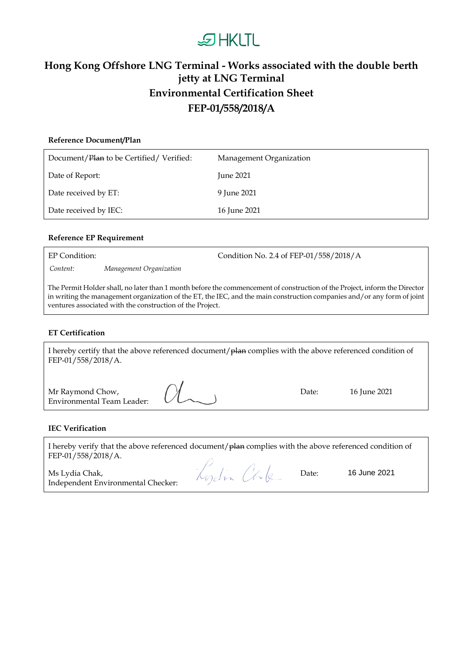# **DHKLTL**

### **Hong Kong Offshore LNG Terminal - Works associated with the double berth jetty at LNG Terminal Environmental Certification Sheet FEP-01/558/2018/A**

## **Reference Document/Plan** Document/Plan to be Certified/ Verified: Management Organization Date of Report: June 2021 Date received by ET: 9 June 2021 Date received by IEC: 16 June 2021

#### **Reference EP Requirement**

*Content: Management Organization*

EP Condition: Condition No. 2.4 of FEP-01/558/2018/A

The Permit Holder shall, no later than 1 month before the commencement of construction of the Project, inform the Director in writing the management organization of the ET, the IEC, and the main construction companies and/or any form of joint ventures associated with the construction of the Project.

#### **ET Certification**

| I hereby certify that the above referenced document/plan complies with the above referenced condition of<br>FEP-01/558/2018/A. |       |              |
|--------------------------------------------------------------------------------------------------------------------------------|-------|--------------|
| Mr Raymond Chow, $\bigwedge^{\mathcal{U}}$<br><b>Environmental Team Leader:</b>                                                | Date: | 16 June 2021 |

#### **IEC Verification**

| I hereby verify that the above referenced document/plan complies with the above referenced condition of |                                               |  |
|---------------------------------------------------------------------------------------------------------|-----------------------------------------------|--|
| FEP-01/558/2018/A.                                                                                      |                                               |  |
|                                                                                                         | $\mathcal{U}$ , $\mathcal{A}$ , $\mathcal{U}$ |  |

Ms Lydia Chak, Independent Environmental Checker: Kydin Chke

Date: 16 June 2021